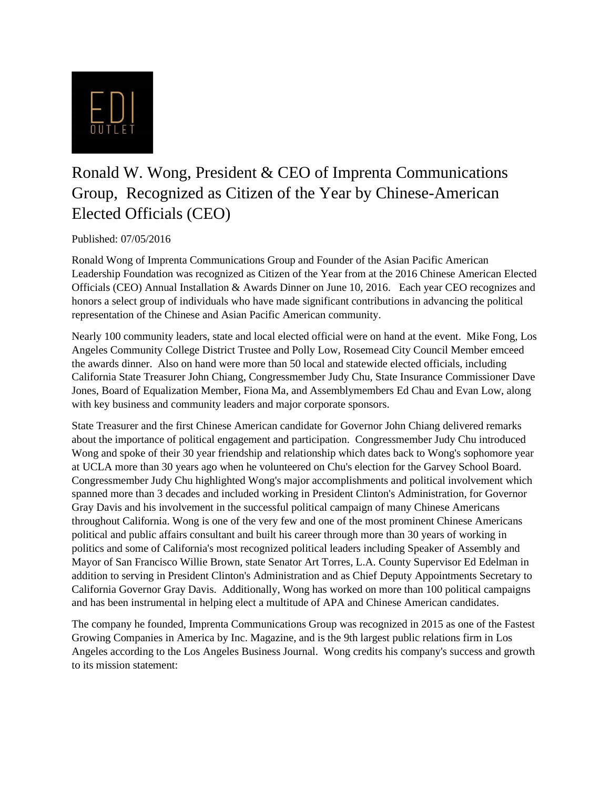

## Ronald W. Wong, President & CEO of Imprenta Communications Group, Recognized as Citizen of the Year by Chinese-American Elected Officials (CEO)

## Published: 07/05/2016

Ronald Wong of Imprenta Communications Group and Founder of the Asian Pacific American Leadership Foundation was recognized as Citizen of the Year from at the 2016 Chinese American Elected Officials (CEO) Annual Installation & Awards Dinner on June 10, 2016. Each year CEO recognizes and honors a select group of individuals who have made significant contributions in advancing the political representation of the Chinese and Asian Pacific American community.

Nearly 100 community leaders, state and local elected official were on hand at the event. Mike Fong, Los Angeles Community College District Trustee and Polly Low, Rosemead City Council Member emceed the awards dinner. Also on hand were more than 50 local and statewide elected officials, including California State Treasurer John Chiang, Congressmember Judy Chu, State Insurance Commissioner Dave Jones, Board of Equalization Member, Fiona Ma, and Assemblymembers Ed Chau and Evan Low, along with key business and community leaders and major corporate sponsors.

State Treasurer and the first Chinese American candidate for Governor John Chiang delivered remarks about the importance of political engagement and participation. Congressmember Judy Chu introduced Wong and spoke of their 30 year friendship and relationship which dates back to Wong's sophomore year at UCLA more than 30 years ago when he volunteered on Chu's election for the Garvey School Board. Congressmember Judy Chu highlighted Wong's major accomplishments and political involvement which spanned more than 3 decades and included working in President Clinton's Administration, for Governor Gray Davis and his involvement in the successful political campaign of many Chinese Americans throughout California. Wong is one of the very few and one of the most prominent Chinese Americans political and public affairs consultant and built his career through more than 30 years of working in politics and some of California's most recognized political leaders including Speaker of Assembly and Mayor of San Francisco Willie Brown, state Senator Art Torres, L.A. County Supervisor Ed Edelman in addition to serving in President Clinton's Administration and as Chief Deputy Appointments Secretary to California Governor Gray Davis. Additionally, Wong has worked on more than 100 political campaigns and has been instrumental in helping elect a multitude of APA and Chinese American candidates.

The company he founded, Imprenta Communications Group was recognized in 2015 as one of the Fastest Growing Companies in America by Inc. Magazine, and is the 9th largest public relations firm in Los Angeles according to the Los Angeles Business Journal. Wong credits his company's success and growth to its mission statement: